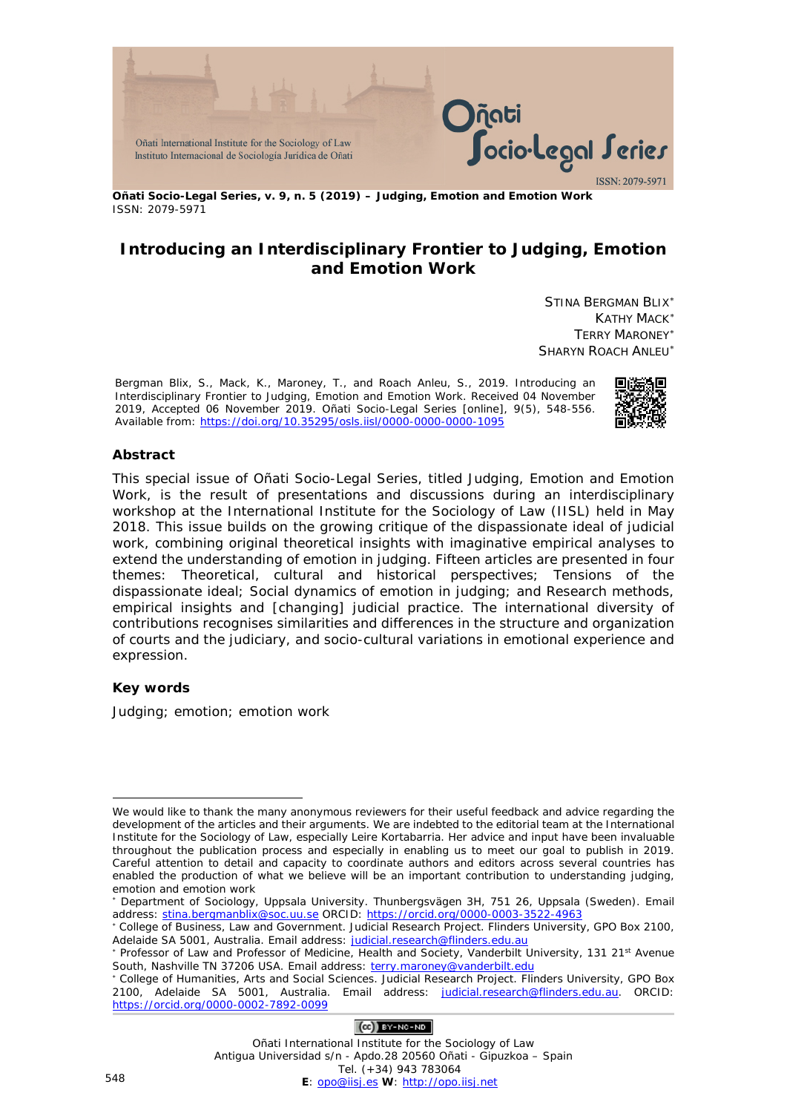

**Oñati Socio-Legal Series, v. 9, n. 5 (2019) – Judging, Emotion and Emotion Work** ISSN: 2079-5971

# **Introducing an Interdisciplinary Frontier to Judging, Emotion and Emotion Work**

STINA BERGMAN BLIX[∗](#page-0-0) KATHY MACK[∗](#page-0-1) TERRY MARONEY[∗](#page-0-2) SHARYN ROACH ANLEU[∗](#page-0-3)

Bergman Blix, S., Mack, K., Maroney, T., and Roach Anleu, S., 2019. Introducing an Interdisciplinary Frontier to Judging, Emotion and Emotion Work. Received 04 November 2019, Accepted 06 November 2019. *Oñati Socio-Legal Series* [online], 9(5), 548-556. Available from:<https://doi.org/10.35295/osls.iisl/0000-0000-0000-1095>



### **Abstract**

This special issue of *Oñati Socio-Legal Series,* titled *Judging, Emotion and Emotion Work,* is the result of presentations and discussions during an interdisciplinary workshop at the International Institute for the Sociology of Law (IISL) held in May 2018. This issue builds on the growing critique of the dispassionate ideal of judicial work, combining original theoretical insights with imaginative empirical analyses to extend the understanding of emotion in judging. Fifteen articles are presented in four themes: Theoretical, cultural and historical perspectives; Tensions of the dispassionate ideal; Social dynamics of emotion in judging; and Research methods, empirical insights and [changing] judicial practice. The international diversity of contributions recognises similarities and differences in the structure and organization of courts and the judiciary, and socio-cultural variations in emotional experience and expression.

#### **Key words**

Judging; emotion; emotion work

### $(Ce)$  BY-NC-ND

<span id="page-0-0"></span><sup>&</sup>lt;u>.</u> We would like to thank the many anonymous reviewers for their useful feedback and advice regarding the development of the articles and their arguments. We are indebted to the editorial team at the International Institute for the Sociology of Law, especially Leire Kortabarria. Her advice and input have been invaluable throughout the publication process and especially in enabling us to meet our goal to publish in 2019. Careful attention to detail and capacity to coordinate authors and editors across several countries has enabled the production of what we believe will be an important contribution to understanding judging, emotion and emotion work

<sup>∗</sup> Department of Sociology, Uppsala University. Thunbergsvägen 3H, 751 26, Uppsala (Sweden). Email address: [stina.bergmanblix@soc.uu.se](mailto:stina.bergmanblix@soc.uu.se) ORCID:<https://orcid.org/0000-0003-3522-4963>

<span id="page-0-1"></span><sup>∗</sup> College of Business, Law and Government. Judicial Research Project. Flinders University, GPO Box 2100, Adelaide SA 5001, Australia. Email address: [judicial.research@flinders.edu.au](mailto:judicial.research@flinders.edu.au)

<span id="page-0-2"></span><sup>∗</sup> Professor of Law and Professor of Medicine, Health and Society, Vanderbilt University, 131 21st Avenue South, Nashville TN 37206 USA. Email address: [terry.maroney@vanderbilt.edu](mailto:terry.maroney@vanderbilt.edu)

<span id="page-0-3"></span><sup>∗</sup> College of Humanities, Arts and Social Sciences. Judicial Research Project. Flinders University, GPO Box 2100, Adelaide SA 5001, Australia. Email address: [judicial.research@flinders.edu.au.](mailto:judicial.research@flinders.edu.au) ORCID: <https://orcid.org/0000-0002-7892-0099>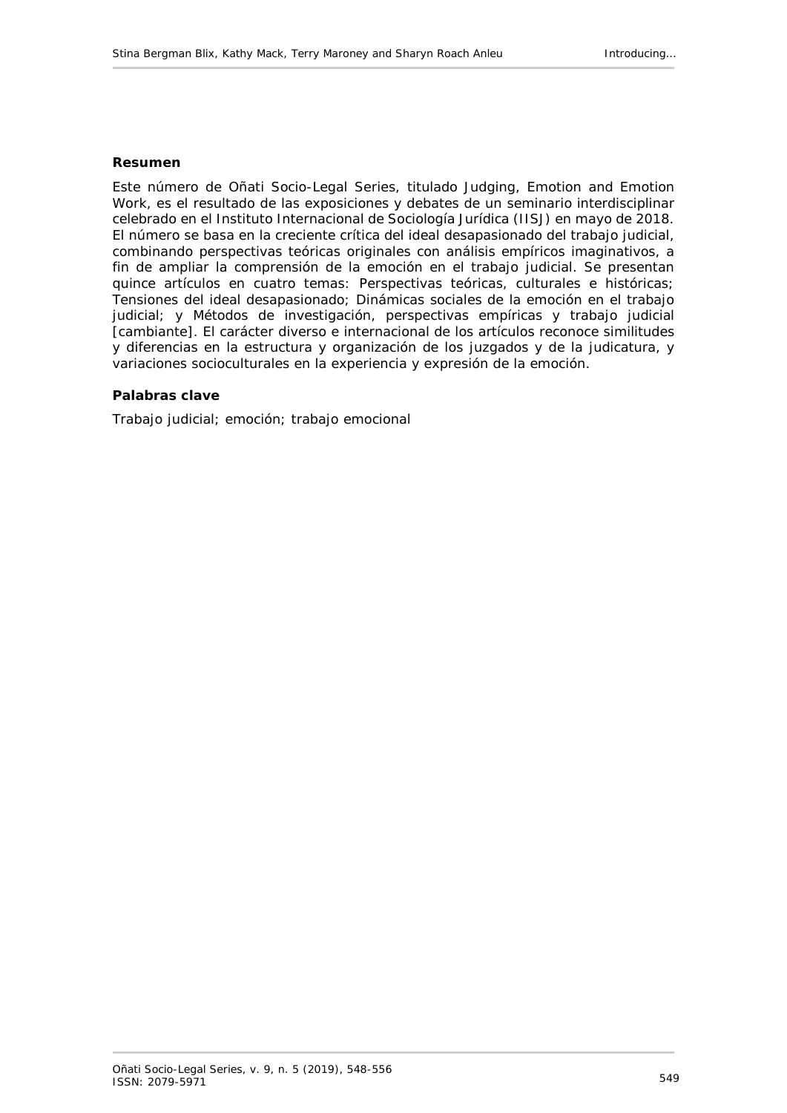#### **Resumen**

Este número de *Oñati Socio-Legal Series*, titulado *Judging, Emotion and Emotion Work*, es el resultado de las exposiciones y debates de un seminario interdisciplinar celebrado en el Instituto Internacional de Sociología Jurídica (IISJ) en mayo de 2018. El número se basa en la creciente crítica del ideal desapasionado del trabajo judicial, combinando perspectivas teóricas originales con análisis empíricos imaginativos, a fin de ampliar la comprensión de la emoción en el trabajo judicial. Se presentan quince artículos en cuatro temas: Perspectivas teóricas, culturales e históricas; Tensiones del ideal desapasionado; Dinámicas sociales de la emoción en el trabajo judicial; y Métodos de investigación, perspectivas empíricas y trabajo judicial [cambiante]. El carácter diverso e internacional de los artículos reconoce similitudes y diferencias en la estructura y organización de los juzgados y de la judicatura, y variaciones socioculturales en la experiencia y expresión de la emoción.

#### **Palabras clave**

Trabajo judicial; emoción; trabajo emocional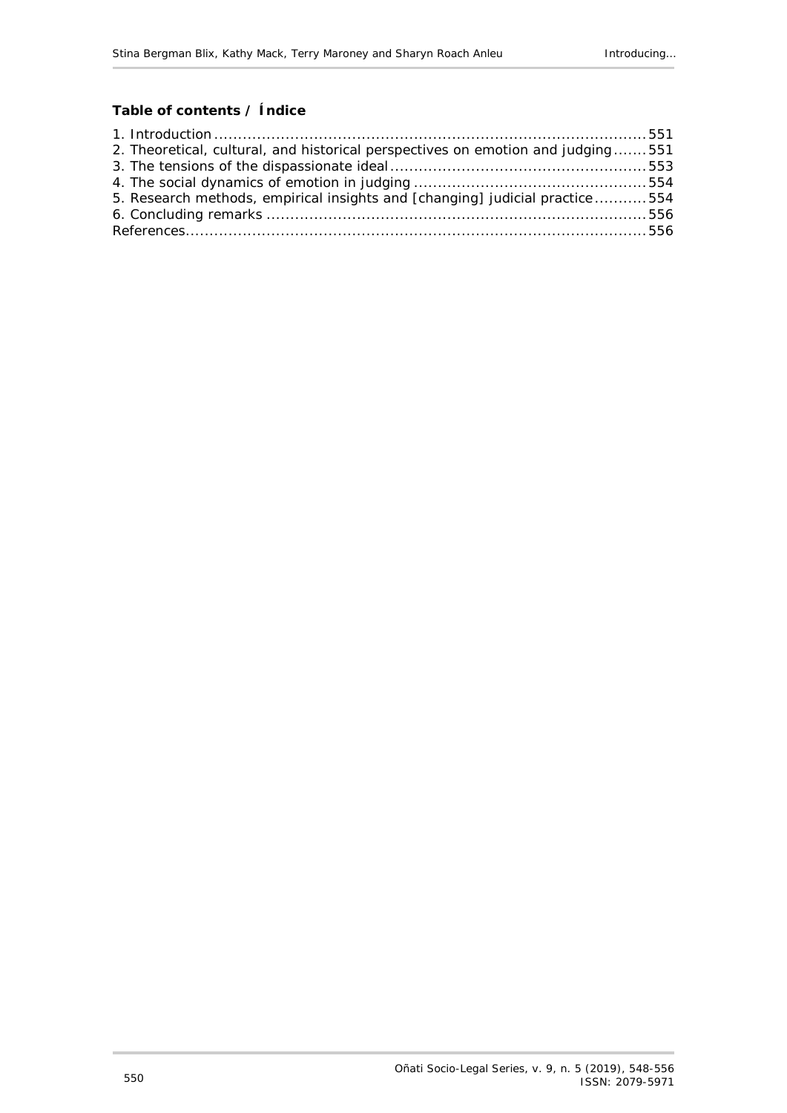## **Table of contents / Índice**

| 2. Theoretical, cultural, and historical perspectives on emotion and judging551 |  |
|---------------------------------------------------------------------------------|--|
|                                                                                 |  |
|                                                                                 |  |
| 5. Research methods, empirical insights and [changing] judicial practice554     |  |
|                                                                                 |  |
|                                                                                 |  |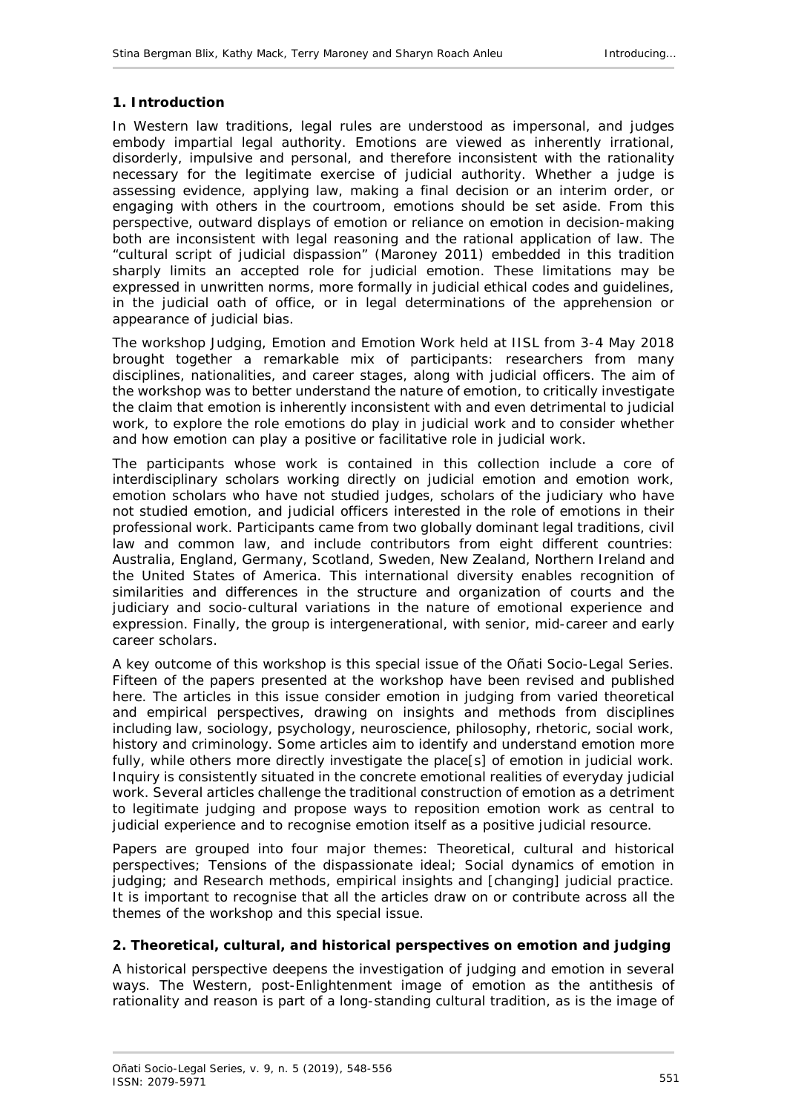### <span id="page-3-0"></span>**1. Introduction**

In Western law traditions, legal rules are understood as impersonal, and judges embody impartial legal authority. Emotions are viewed as inherently irrational, disorderly, impulsive and personal, and therefore inconsistent with the rationality necessary for the legitimate exercise of judicial authority. Whether a judge is assessing evidence, applying law, making a final decision or an interim order, or engaging with others in the courtroom, emotions should be set aside. From this perspective, outward displays of emotion or reliance on emotion in decision-making both are inconsistent with legal reasoning and the rational application of law. The "cultural script of judicial dispassion" (Maroney 2011) embedded in this tradition sharply limits an accepted role for judicial emotion. These limitations may be expressed in unwritten norms, more formally in judicial ethical codes and guidelines, in the judicial oath of office, or in legal determinations of the apprehension or appearance of judicial bias.

The workshop *Judging, Emotion and Emotion Work* held at IISL from 3-4 May 2018 brought together a remarkable mix of participants: researchers from many disciplines, nationalities, and career stages, along with judicial officers. The aim of the workshop was to better understand the nature of emotion, to critically investigate the claim that emotion is inherently inconsistent with and even detrimental to judicial work, to explore the role emotions do play in judicial work and to consider whether and how emotion can play a positive or facilitative role in judicial work.

The participants whose work is contained in this collection include a core of interdisciplinary scholars working directly on judicial emotion and emotion work, emotion scholars who have not studied judges, scholars of the judiciary who have not studied emotion, and judicial officers interested in the role of emotions in their professional work. Participants came from two globally dominant legal traditions, civil law and common law, and include contributors from eight different countries: Australia, England, Germany, Scotland, Sweden, New Zealand, Northern Ireland and the United States of America. This international diversity enables recognition of similarities and differences in the structure and organization of courts and the judiciary and socio-cultural variations in the nature of emotional experience and expression. Finally, the group is intergenerational, with senior, mid-career and early career scholars.

A key outcome of this workshop is this special issue of the *Oñati Socio-Legal Series*. Fifteen of the papers presented at the workshop have been revised and published here. The articles in this issue consider emotion in judging from varied theoretical and empirical perspectives, drawing on insights and methods from disciplines including law, sociology, psychology, neuroscience, philosophy, rhetoric, social work, history and criminology. Some articles aim to identify and understand emotion more fully, while others more directly investigate the place[s] of emotion in judicial work. Inquiry is consistently situated in the concrete emotional realities of everyday judicial work. Several articles challenge the traditional construction of emotion as a detriment to legitimate judging and propose ways to reposition emotion work as central to judicial experience and to recognise emotion itself as a positive judicial resource.

Papers are grouped into four major themes: Theoretical, cultural and historical perspectives; Tensions of the dispassionate ideal; Social dynamics of emotion in judging; and Research methods, empirical insights and [changing] judicial practice. It is important to recognise that all the articles draw on or contribute across all the themes of the workshop and this special issue.

### <span id="page-3-1"></span>**2. Theoretical, cultural, and historical perspectives on emotion and judging**

A historical perspective deepens the investigation of judging and emotion in several ways. The Western, post-Enlightenment image of emotion as the antithesis of rationality and reason is part of a long-standing cultural tradition, as is the image of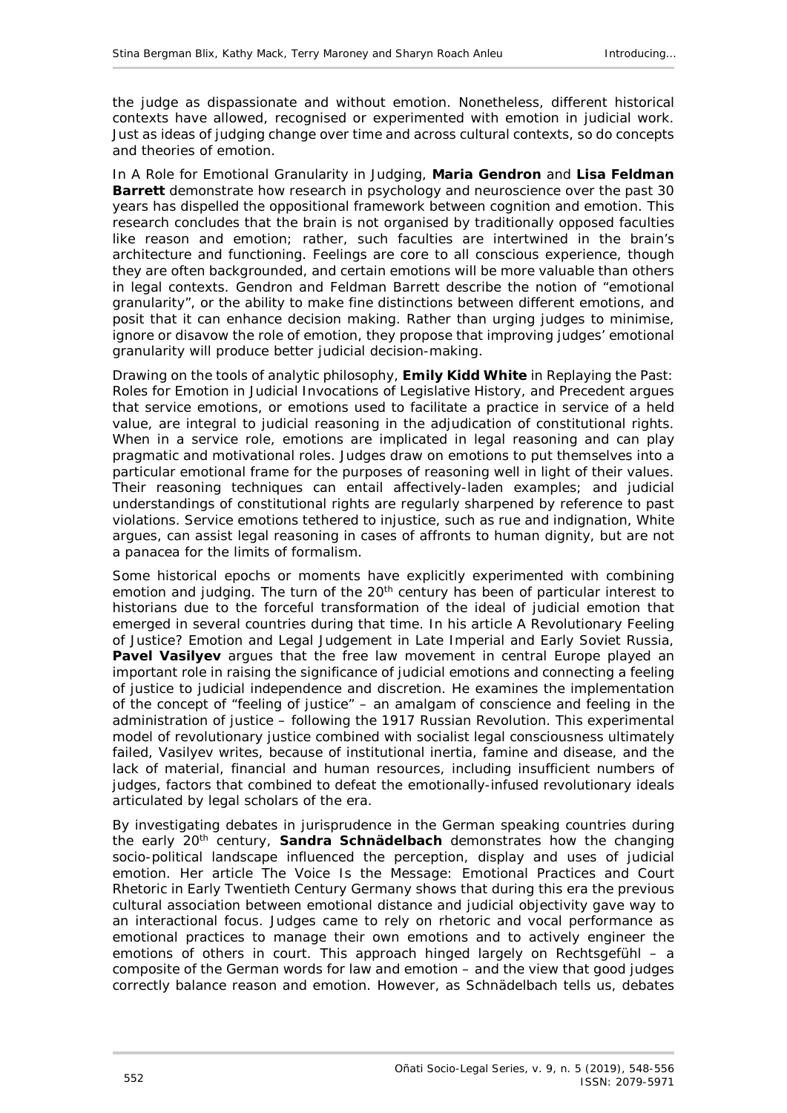the judge as dispassionate and without emotion. Nonetheless, different historical contexts have allowed, recognised or experimented with emotion in judicial work. Just as ideas of judging change over time and across cultural contexts, so do concepts and theories of emotion.

In *A Role for Emotional Granularity in Judging*, **Maria Gendron** and **Lisa Feldman Barrett** demonstrate how research in psychology and neuroscience over the past 30 years has dispelled the oppositional framework between cognition and emotion. This research concludes that the brain is not organised by traditionally opposed faculties like reason and emotion; rather, such faculties are intertwined in the brain's architecture and functioning. Feelings are core to all conscious experience, though they are often backgrounded, and certain emotions will be more valuable than others in legal contexts. Gendron and Feldman Barrett describe the notion of "emotional granularity", or the ability to make fine distinctions between different emotions, and posit that it can enhance decision making. Rather than urging judges to minimise, ignore or disavow the role of emotion, they propose that improving judges' emotional granularity will produce better judicial decision-making.

Drawing on the tools of analytic philosophy, **Emily Kidd White** in *Replaying the Past: Roles for Emotion in Judicial Invocations of Legislative History, and Precedent* argues that service emotions, or emotions used to facilitate a practice in service of a held value, are integral to judicial reasoning in the adjudication of constitutional rights. When in a service role, emotions are implicated in legal reasoning and can play pragmatic and motivational roles. Judges draw on emotions to put themselves into a particular emotional frame for the purposes of reasoning well in light of their values. Their reasoning techniques can entail affectively-laden examples; and judicial understandings of constitutional rights are regularly sharpened by reference to past violations. Service emotions tethered to injustice, such as rue and indignation, White argues, can assist legal reasoning in cases of affronts to human dignity, but are not a panacea for the limits of formalism.

Some historical epochs or moments have explicitly experimented with combining emotion and judging. The turn of the  $20<sup>th</sup>$  century has been of particular interest to historians due to the forceful transformation of the ideal of judicial emotion that emerged in several countries during that time. In his article *A Revolutionary Feeling of Justice? Emotion and Legal Judgement in Late Imperial and Early Soviet Russia,* **Pavel Vasilyev** argues that the free law movement in central Europe played an important role in raising the significance of judicial emotions and connecting a feeling of justice to judicial independence and discretion. He examines the implementation of the concept of "feeling of justice" – an amalgam of conscience and feeling in the administration of justice – following the 1917 Russian Revolution. This experimental model of revolutionary justice combined with socialist legal consciousness ultimately failed, Vasilyev writes, because of institutional inertia, famine and disease, and the lack of material, financial and human resources, including insufficient numbers of judges, factors that combined to defeat the emotionally-infused revolutionary ideals articulated by legal scholars of the era.

By investigating debates in jurisprudence in the German speaking countries during the early 20<sup>th</sup> century, **Sandra Schnädelbach** demonstrates how the changing socio-political landscape influenced the perception, display and uses of judicial emotion. Her article *The Voice Is the Message: Emotional Practices and Court Rhetoric in Early Twentieth Century Germany* shows that during this era the previous cultural association between emotional distance and judicial objectivity gave way to an interactional focus. Judges came to rely on rhetoric and vocal performance as emotional practices to manage their own emotions and to actively engineer the emotions of others in court. This approach hinged largely on Rechtsgefühl – a composite of the German words for law and emotion – and the view that good judges correctly balance reason and emotion. However, as Schnädelbach tells us, debates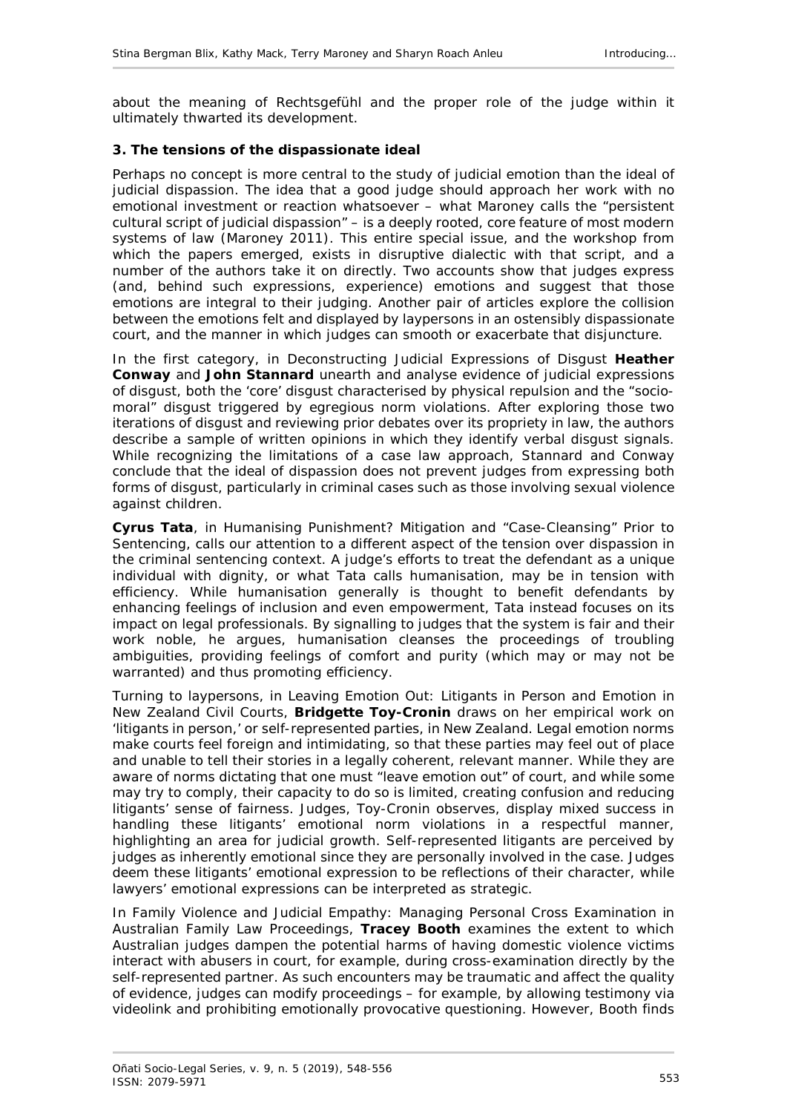about the meaning of Rechtsgefühl and the proper role of the judge within it ultimately thwarted its development.

### <span id="page-5-0"></span>**3. The tensions of the dispassionate ideal**

Perhaps no concept is more central to the study of judicial emotion than the ideal of judicial dispassion. The idea that a good judge should approach her work with no emotional investment or reaction whatsoever – what Maroney calls the "persistent cultural script of judicial dispassion" – is a deeply rooted, core feature of most modern systems of law (Maroney 2011). This entire special issue, and the workshop from which the papers emerged, exists in disruptive dialectic with that script, and a number of the authors take it on directly. Two accounts show that judges express (and, behind such expressions, experience) emotions and suggest that those emotions are integral to their judging. Another pair of articles explore the collision between the emotions felt and displayed by laypersons in an ostensibly dispassionate court, and the manner in which judges can smooth or exacerbate that disjuncture.

In the first category, in *Deconstructing Judicial Expressions of Disgust* **Heather Conway** and **John Stannard** unearth and analyse evidence of judicial expressions of disgust, both the 'core' disgust characterised by physical repulsion and the "sociomoral" disgust triggered by egregious norm violations. After exploring those two iterations of disgust and reviewing prior debates over its propriety in law, the authors describe a sample of written opinions in which they identify verbal disgust signals. While recognizing the limitations of a case law approach, Stannard and Conway conclude that the ideal of dispassion does not prevent judges from expressing both forms of disgust, particularly in criminal cases such as those involving sexual violence against children.

**Cyrus Tata**, in *Humanising Punishment? Mitigation and "Case-Cleansing" Prior to Sentencing*, calls our attention to a different aspect of the tension over dispassion in the criminal sentencing context. A judge's efforts to treat the defendant as a unique individual with dignity, or what Tata calls humanisation, may be in tension with efficiency. While humanisation generally is thought to benefit defendants by enhancing feelings of inclusion and even empowerment, Tata instead focuses on its impact on legal professionals. By signalling to judges that the system is fair and their work noble, he argues, humanisation cleanses the proceedings of troubling ambiguities, providing feelings of comfort and purity (which may or may not be warranted) and thus promoting efficiency.

Turning to laypersons, in *Leaving Emotion Out: Litigants in Person and Emotion in New Zealand Civil Courts*, **Bridgette Toy-Cronin** draws on her empirical work on 'litigants in person,' or self-represented parties, in New Zealand. Legal emotion norms make courts feel foreign and intimidating, so that these parties may feel out of place and unable to tell their stories in a legally coherent, relevant manner. While they are aware of norms dictating that one must "leave emotion out" of court, and while some may try to comply, their capacity to do so is limited, creating confusion and reducing litigants' sense of fairness. Judges, Toy-Cronin observes, display mixed success in handling these litigants' emotional norm violations in a respectful manner, highlighting an area for judicial growth. Self-represented litigants are perceived by judges as inherently emotional since they are personally involved in the case. Judges deem these litigants' emotional expression to be reflections of their character, while lawyers' emotional expressions can be interpreted as strategic.

In *Family Violence and Judicial Empathy: Managing Personal Cross Examination in Australian Family Law Proceedings*, **Tracey Booth** examines the extent to which Australian judges dampen the potential harms of having domestic violence victims interact with abusers in court, for example, during cross-examination directly by the self-represented partner. As such encounters may be traumatic and affect the quality of evidence, judges can modify proceedings – for example, by allowing testimony via videolink and prohibiting emotionally provocative questioning. However, Booth finds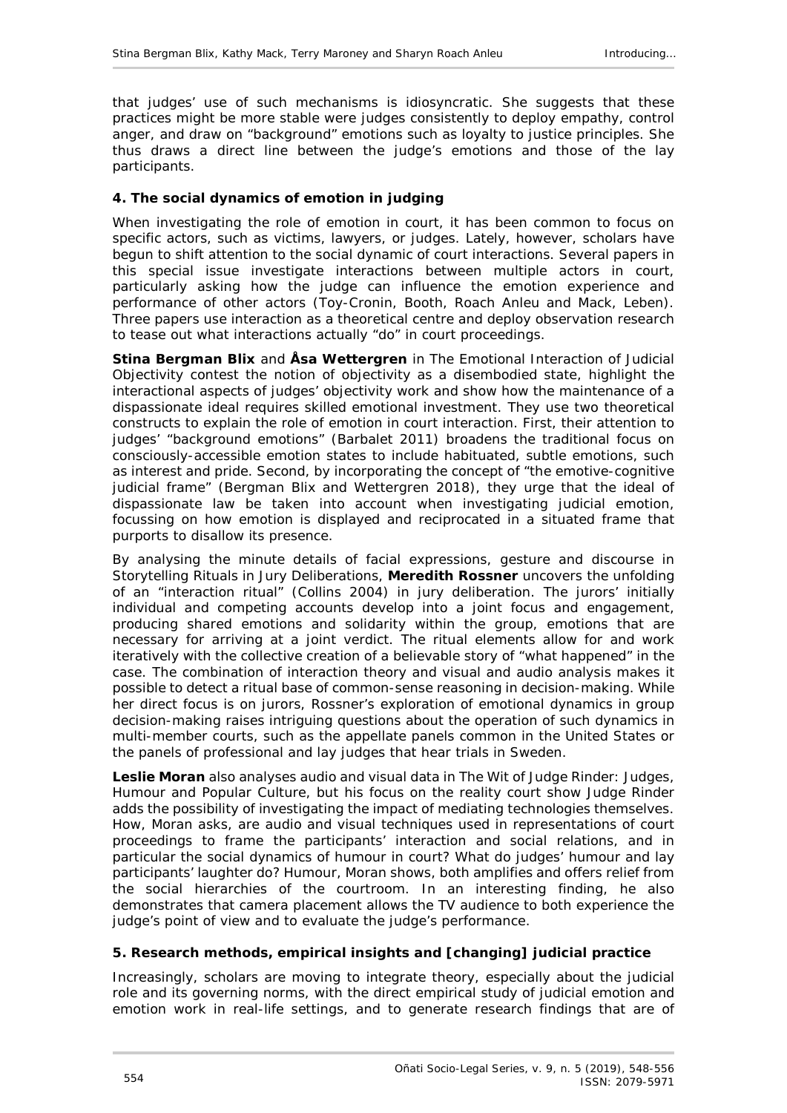that judges' use of such mechanisms is idiosyncratic. She suggests that these practices might be more stable were judges consistently to deploy empathy, control anger, and draw on "background" emotions such as loyalty to justice principles. She thus draws a direct line between the judge's emotions and those of the lay participants.

### <span id="page-6-0"></span>**4. The social dynamics of emotion in judging**

When investigating the role of emotion in court, it has been common to focus on specific actors, such as victims, lawyers, or judges. Lately, however, scholars have begun to shift attention to the social dynamic of court interactions. Several papers in this special issue investigate interactions between multiple actors in court, particularly asking how the judge can influence the emotion experience and performance of other actors (Toy-Cronin, Booth, Roach Anleu and Mack, Leben). Three papers use interaction as a theoretical centre and deploy observation research to tease out what interactions actually "do" in court proceedings.

**Stina Bergman Blix** and **Åsa Wettergren** in *The Emotional Interaction of Judicial Objectivity* contest the notion of objectivity as a disembodied state, highlight the interactional aspects of judges' objectivity work and show how the maintenance of a dispassionate ideal requires skilled emotional investment. They use two theoretical constructs to explain the role of emotion in court interaction. First, their attention to judges' "background emotions" (Barbalet 2011) broadens the traditional focus on consciously-accessible emotion states to include habituated, subtle emotions, such as interest and pride. Second, by incorporating the concept of "the emotive-cognitive judicial frame" (Bergman Blix and Wettergren 2018), they urge that the ideal of dispassionate law be taken into account when investigating judicial emotion, focussing on how emotion is displayed and reciprocated in a situated frame that purports to disallow its presence.

By analysing the minute details of facial expressions, gesture and discourse in *Storytelling Rituals in Jury Deliberations*, **Meredith Rossner** uncovers the unfolding of an "interaction ritual" (Collins 2004) in jury deliberation. The jurors' initially individual and competing accounts develop into a joint focus and engagement, producing shared emotions and solidarity within the group, emotions that are necessary for arriving at a joint verdict. The ritual elements allow for and work iteratively with the collective creation of a believable story of "what happened" in the case. The combination of interaction theory and visual and audio analysis makes it possible to detect a ritual base of common-sense reasoning in decision-making. While her direct focus is on jurors, Rossner's exploration of emotional dynamics in group decision-making raises intriguing questions about the operation of such dynamics in multi-member courts, such as the appellate panels common in the United States or the panels of professional and lay judges that hear trials in Sweden.

**Leslie Moran** also analyses audio and visual data in *The Wit of* Judge Rinder*: Judges, Humour and Popular Culture*, but his focus on the reality court show *Judge Rinder* adds the possibility of investigating the impact of mediating technologies themselves. How, Moran asks, are audio and visual techniques used in representations of court proceedings to frame the participants' interaction and social relations, and in particular the social dynamics of humour in court? What do judges' humour and lay participants' laughter do? Humour, Moran shows, both amplifies and offers relief from the social hierarchies of the courtroom*.* In an interesting finding, he also demonstrates that camera placement allows the TV audience to both experience the judge's point of view and to evaluate the judge's performance.

#### <span id="page-6-1"></span>**5. Research methods, empirical insights and [changing] judicial practice**

Increasingly, scholars are moving to integrate theory, especially about the judicial role and its governing norms, with the direct empirical study of judicial emotion and emotion work in real-life settings, and to generate research findings that are of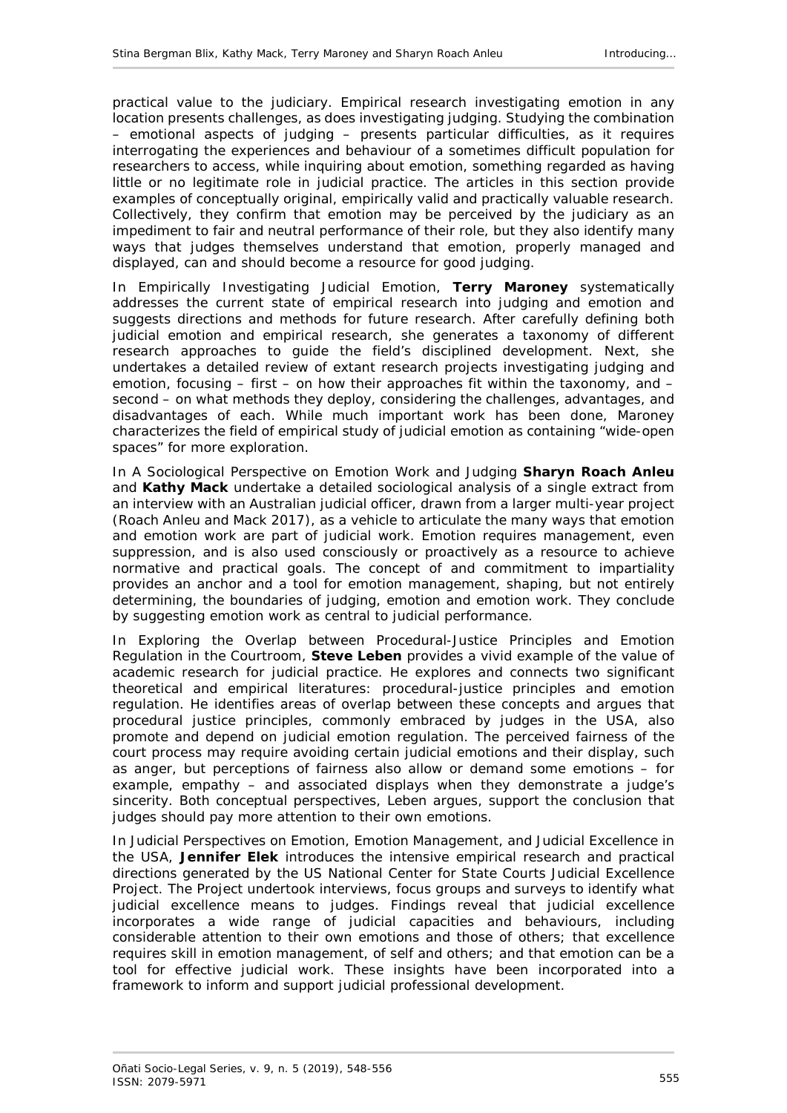practical value to the judiciary. Empirical research investigating emotion in any location presents challenges, as does investigating judging. Studying the combination – emotional aspects of judging – presents particular difficulties, as it requires interrogating the experiences and behaviour of a sometimes difficult population for researchers to access, while inquiring about emotion, something regarded as having little or no legitimate role in judicial practice. The articles in this section provide examples of conceptually original, empirically valid and practically valuable research. Collectively, they confirm that emotion may be perceived by the judiciary as an impediment to fair and neutral performance of their role, but they also identify many ways that judges themselves understand that emotion, properly managed and displayed, can and should become a resource for good judging.

In *Empirically Investigating Judicial Emotion*, **Terry Maroney** systematically addresses the current state of empirical research into judging and emotion and suggests directions and methods for future research. After carefully defining both judicial emotion and empirical research, she generates a taxonomy of different research approaches to guide the field's disciplined development. Next, she undertakes a detailed review of extant research projects investigating judging and emotion, focusing  $-$  first  $-$  on how their approaches fit within the taxonomy, and  $$ second – on what methods they deploy, considering the challenges, advantages, and disadvantages of each. While much important work has been done, Maroney characterizes the field of empirical study of judicial emotion as containing "wide-open spaces" for more exploration.

In *A Sociological Perspective on Emotion Work and Judging* **Sharyn Roach Anleu** and **Kathy Mack** undertake a detailed sociological analysis of a single extract from an interview with an Australian judicial officer, drawn from a larger multi-year project (Roach Anleu and Mack 2017), as a vehicle to articulate the many ways that emotion and emotion work are part of judicial work. Emotion requires management, even suppression, and is also used consciously or proactively as a resource to achieve normative and practical goals. The concept of and commitment to impartiality provides an anchor and a tool for emotion management, shaping, but not entirely determining, the boundaries of judging, emotion and emotion work. They conclude by suggesting emotion work as central to judicial performance.

In *Exploring the Overlap between Procedural-Justice Principles and Emotion Regulation in the Courtroom*, **Steve Leben** provides a vivid example of the value of academic research for judicial practice. He explores and connects two significant theoretical and empirical literatures: procedural-justice principles and emotion regulation. He identifies areas of overlap between these concepts and argues that procedural justice principles, commonly embraced by judges in the USA, also promote and depend on judicial emotion regulation. The perceived fairness of the court process may require avoiding certain judicial emotions and their display, such as anger, but perceptions of fairness also allow or demand some emotions – for example, empathy – and associated displays when they demonstrate a judge's sincerity. Both conceptual perspectives, Leben argues, support the conclusion that judges should pay more attention to their own emotions.

In *Judicial Perspectives on Emotion, Emotion Management, and Judicial Excellence in the USA*, **Jennifer Elek** introduces the intensive empirical research and practical directions generated by the US National Center for State Courts Judicial Excellence Project. The Project undertook interviews, focus groups and surveys to identify what judicial excellence means to judges. Findings reveal that judicial excellence incorporates a wide range of judicial capacities and behaviours, including considerable attention to their own emotions and those of others; that excellence requires skill in emotion management, of self and others; and that emotion can be a tool for effective judicial work. These insights have been incorporated into a framework to inform and support judicial professional development.